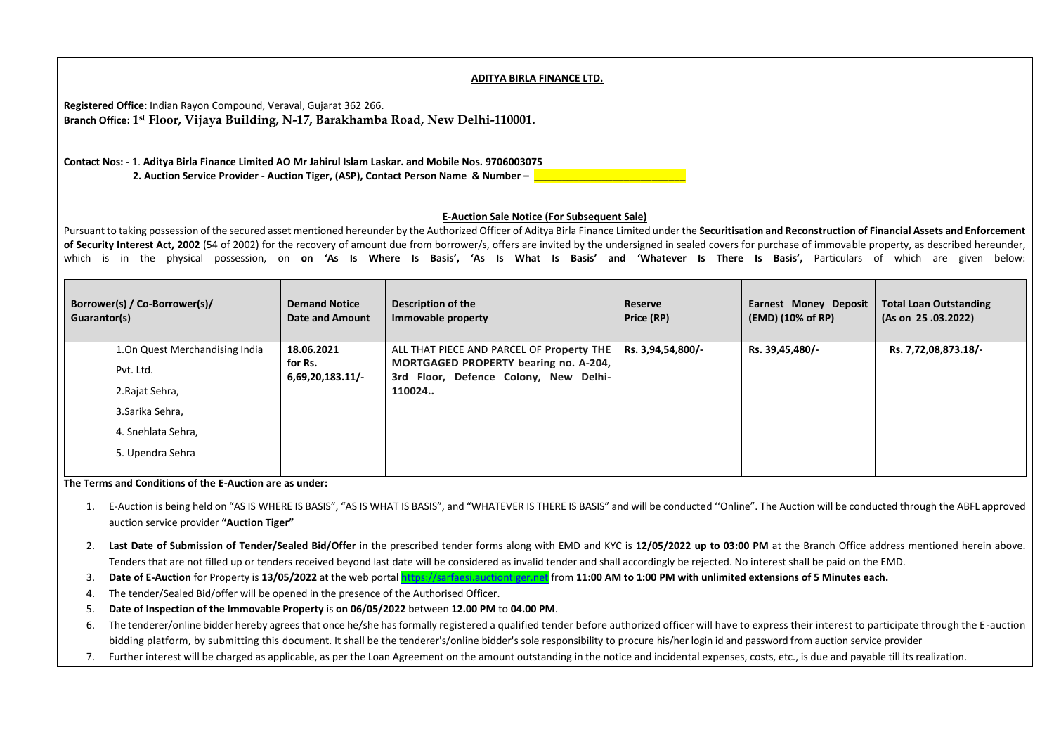## **ADITYA BIRLA FINANCE LTD.**

**Registered Office**: Indian Rayon Compound, Veraval, Gujarat 362 266. **Branch Office: 1 st Floor, Vijaya Building, N-17, Barakhamba Road, New Delhi-110001.**

**Contact Nos: -** 1. **Aditya Birla Finance Limited AO Mr Jahirul Islam Laskar. and Mobile Nos. 9706003075 2. Auction Service Provider - Auction Tiger, (ASP), Contact Person Name & Number – \_\_\_\_\_\_\_\_\_\_\_\_\_\_\_\_\_\_\_\_\_\_\_\_\_\_\_**

## **E-Auction Sale Notice (For Subsequent Sale)**

Pursuant to taking possession of the secured asset mentioned hereunder by the Authorized Officer of Aditya Birla Finance Limited under the **Securitisation and Reconstruction of Financial Assets and Enforcement**  of Security Interest Act, 2002 (54 of 2002) for the recovery of amount due from borrower/s, offers are invited by the undersigned in sealed covers for purchase of immovable property, as described hereunder, which is in the physical possession, on **on 'As Is Where Is Basis', 'As Is What Is Basis' and 'Whatever Is There Is Basis',** Particulars of which are given below:

| Borrower(s) / Co-Borrower(s)/<br>Guarantor(s) | <b>Demand Notice</b><br><b>Date and Amount</b> | Description of the<br>Immovable property                                       | Reserve<br>Price (RP) | <b>Earnest Money Deposit</b><br>(EMD) (10% of RP) | <b>Total Loan Outstanding</b><br>(As on 25.03.2022) |
|-----------------------------------------------|------------------------------------------------|--------------------------------------------------------------------------------|-----------------------|---------------------------------------------------|-----------------------------------------------------|
| 1. On Quest Merchandising India               | 18.06.2021                                     | ALL THAT PIECE AND PARCEL OF Property THE                                      | Rs. 3,94,54,800/-     | Rs. 39,45,480/-                                   | Rs. 7,72,08,873.18/-                                |
| Pvt. Ltd.                                     | for Rs.<br>$6,69,20,183.11/-$                  | MORTGAGED PROPERTY bearing no. A-204,<br>3rd Floor, Defence Colony, New Delhi- |                       |                                                   |                                                     |
| 2. Rajat Sehra,                               |                                                | 110024                                                                         |                       |                                                   |                                                     |
| 3. Sarika Sehra,                              |                                                |                                                                                |                       |                                                   |                                                     |
| 4. Snehlata Sehra,                            |                                                |                                                                                |                       |                                                   |                                                     |
| 5. Upendra Sehra                              |                                                |                                                                                |                       |                                                   |                                                     |

**The Terms and Conditions of the E-Auction are as under:** 

- 1. E-Auction is being held on "AS IS WHERE IS BASIS", "AS IS WHAT IS BASIS", and "WHATEVER IS THERE IS BASIS" and will be conducted ''Online". The Auction will be conducted through the ABFL approved auction service provider **"Auction Tiger"**
- 2. **Last Date of Submission of Tender/Sealed Bid/Offer** in the prescribed tender forms along with EMD and KYC is **12/05/2022 up to 03:00 PM** at the Branch Office address mentioned herein above. Tenders that are not filled up or tenders received beyond last date will be considered as invalid tender and shall accordingly be rejected. No interest shall be paid on the EMD.
- 3. **Date of E-Auction** for Property is **13/05/2022** at the web portal [https://sarfaesi.auctiontiger.net](https://sarfaesi.auctiontiger.net/) from **11:00 AM to 1:00 PM with unlimited extensions of 5 Minutes each.**
- 4. The tender/Sealed Bid/offer will be opened in the presence of the Authorised Officer.
- 5. **Date of Inspection of the Immovable Property** is **on 06/05/2022** between **12.00 PM** to **04.00 PM**.
- 6. The tenderer/online bidder hereby agrees that once he/she has formally registered a qualified tender before authorized officer will have to express their interest to participate through the E -auction bidding platform, by submitting this document. It shall be the tenderer's/online bidder's sole responsibility to procure his/her login id and password from auction service provider
- 7. Further interest will be charged as applicable, as per the Loan Agreement on the amount outstanding in the notice and incidental expenses, costs, etc., is due and payable till its realization.